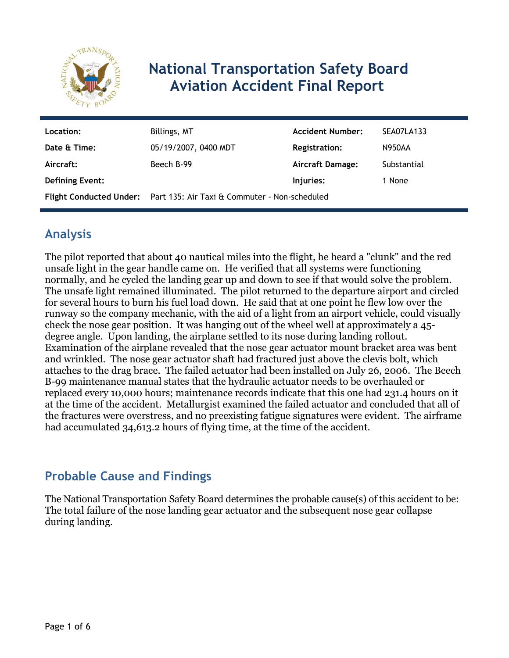

# **National Transportation Safety Board Aviation Accident Final Report**

| Location:              | Billings, MT                                                          | <b>Accident Number:</b> | <b>SEA07LA133</b> |
|------------------------|-----------------------------------------------------------------------|-------------------------|-------------------|
| Date & Time:           | 05/19/2007, 0400 MDT                                                  | <b>Registration:</b>    | N950AA            |
| Aircraft:              | Beech B-99                                                            | Aircraft Damage:        | Substantial       |
| <b>Defining Event:</b> |                                                                       | Injuries:               | 1 None            |
|                        | Flight Conducted Under: Part 135: Air Taxi & Commuter - Non-scheduled |                         |                   |

# **Analysis**

The pilot reported that about 40 nautical miles into the flight, he heard a "clunk" and the red unsafe light in the gear handle came on. He verified that all systems were functioning normally, and he cycled the landing gear up and down to see if that would solve the problem. The unsafe light remained illuminated. The pilot returned to the departure airport and circled for several hours to burn his fuel load down. He said that at one point he flew low over the runway so the company mechanic, with the aid of a light from an airport vehicle, could visually check the nose gear position. It was hanging out of the wheel well at approximately a 45 degree angle. Upon landing, the airplane settled to its nose during landing rollout. Examination of the airplane revealed that the nose gear actuator mount bracket area was bent and wrinkled. The nose gear actuator shaft had fractured just above the clevis bolt, which attaches to the drag brace. The failed actuator had been installed on July 26, 2006. The Beech B-99 maintenance manual states that the hydraulic actuator needs to be overhauled or replaced every 10,000 hours; maintenance records indicate that this one had 231.4 hours on it at the time of the accident. Metallurgist examined the failed actuator and concluded that all of the fractures were overstress, and no preexisting fatigue signatures were evident. The airframe had accumulated 34,613.2 hours of flying time, at the time of the accident.

### **Probable Cause and Findings**

The National Transportation Safety Board determines the probable cause(s) of this accident to be: The total failure of the nose landing gear actuator and the subsequent nose gear collapse during landing.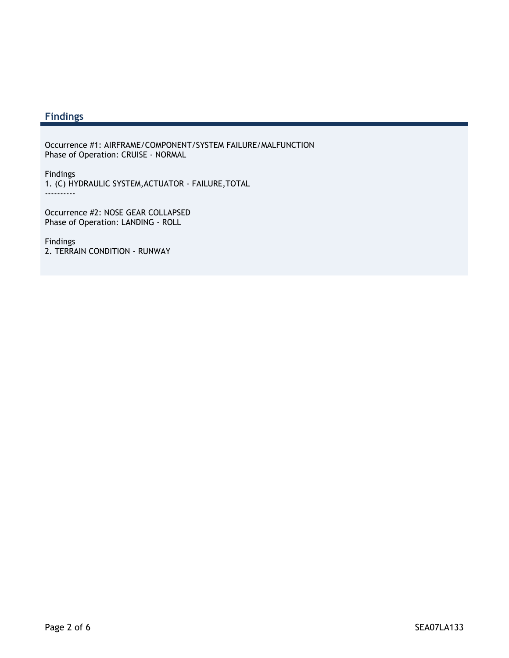### **Findings**

Occurrence #1: AIRFRAME/COMPONENT/SYSTEM FAILURE/MALFUNCTION Phase of Operation: CRUISE - NORMAL

Findings 1. (C) HYDRAULIC SYSTEM,ACTUATOR - FAILURE,TOTAL ----------

Occurrence #2: NOSE GEAR COLLAPSED Phase of Operation: LANDING - ROLL

Findings 2. TERRAIN CONDITION - RUNWAY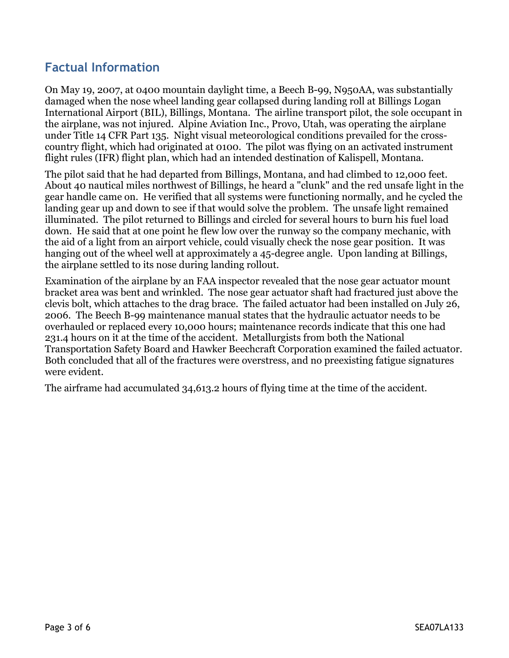### **Factual Information**

On May 19, 2007, at 0400 mountain daylight time, a Beech B-99, N950AA, was substantially damaged when the nose wheel landing gear collapsed during landing roll at Billings Logan International Airport (BIL), Billings, Montana. The airline transport pilot, the sole occupant in the airplane, was not injured. Alpine Aviation Inc., Provo, Utah, was operating the airplane under Title 14 CFR Part 135. Night visual meteorological conditions prevailed for the crosscountry flight, which had originated at 0100. The pilot was flying on an activated instrument flight rules (IFR) flight plan, which had an intended destination of Kalispell, Montana.

The pilot said that he had departed from Billings, Montana, and had climbed to 12,000 feet. About 40 nautical miles northwest of Billings, he heard a "clunk" and the red unsafe light in the gear handle came on. He verified that all systems were functioning normally, and he cycled the landing gear up and down to see if that would solve the problem. The unsafe light remained illuminated. The pilot returned to Billings and circled for several hours to burn his fuel load down. He said that at one point he flew low over the runway so the company mechanic, with the aid of a light from an airport vehicle, could visually check the nose gear position. It was hanging out of the wheel well at approximately a 45-degree angle. Upon landing at Billings, the airplane settled to its nose during landing rollout.

Examination of the airplane by an FAA inspector revealed that the nose gear actuator mount bracket area was bent and wrinkled. The nose gear actuator shaft had fractured just above the clevis bolt, which attaches to the drag brace. The failed actuator had been installed on July 26, 2006. The Beech B-99 maintenance manual states that the hydraulic actuator needs to be overhauled or replaced every 10,000 hours; maintenance records indicate that this one had 231.4 hours on it at the time of the accident. Metallurgists from both the National Transportation Safety Board and Hawker Beechcraft Corporation examined the failed actuator. Both concluded that all of the fractures were overstress, and no preexisting fatigue signatures were evident.

The airframe had accumulated 34,613.2 hours of flying time at the time of the accident.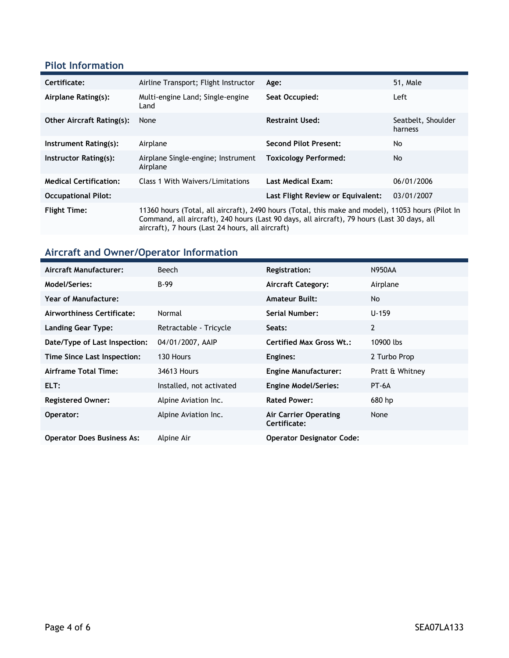#### **Pilot Information**

| Certificate:                     | Airline Transport; Flight Instructor                                                                                                                                                                                                                 | Age:                              | 51, Male                      |
|----------------------------------|------------------------------------------------------------------------------------------------------------------------------------------------------------------------------------------------------------------------------------------------------|-----------------------------------|-------------------------------|
| Airplane Rating(s):              | Multi-engine Land; Single-engine<br>Land                                                                                                                                                                                                             | Seat Occupied:                    | Left                          |
| <b>Other Aircraft Rating(s):</b> | None                                                                                                                                                                                                                                                 | <b>Restraint Used:</b>            | Seatbelt, Shoulder<br>harness |
| Instrument Rating(s):            | Airplane                                                                                                                                                                                                                                             | <b>Second Pilot Present:</b>      | No                            |
| Instructor Rating(s):            | Airplane Single-engine; Instrument<br>Airplane                                                                                                                                                                                                       | <b>Toxicology Performed:</b>      | No.                           |
| <b>Medical Certification:</b>    | Class 1 With Waivers/Limitations                                                                                                                                                                                                                     | <b>Last Medical Exam:</b>         | 06/01/2006                    |
| <b>Occupational Pilot:</b>       |                                                                                                                                                                                                                                                      | Last Flight Review or Equivalent: | 03/01/2007                    |
| <b>Flight Time:</b>              | 11360 hours (Total, all aircraft), 2490 hours (Total, this make and model), 11053 hours (Pilot In<br>Command, all aircraft), 240 hours (Last 90 days, all aircraft), 79 hours (Last 30 days, all<br>aircraft), 7 hours (Last 24 hours, all aircraft) |                                   |                               |

# **Aircraft and Owner/Operator Information**

| Aircraft Manufacturer:            | Beech                    | <b>Registration:</b>                  | <b>N950AA</b>   |
|-----------------------------------|--------------------------|---------------------------------------|-----------------|
| Model/Series:                     | $B-99$                   | <b>Aircraft Category:</b>             | Airplane        |
| Year of Manufacture:              |                          | <b>Amateur Built:</b>                 | No.             |
| Airworthiness Certificate:        | Normal                   | Serial Number:                        | $U - 159$       |
| <b>Landing Gear Type:</b>         | Retractable - Tricycle   | Seats:                                | $\overline{2}$  |
| Date/Type of Last Inspection:     | 04/01/2007, AAIP         | <b>Certified Max Gross Wt.:</b>       | 10900 lbs       |
| Time Since Last Inspection:       | 130 Hours                | Engines:                              | 2 Turbo Prop    |
| Airframe Total Time:              | 34613 Hours              | <b>Engine Manufacturer:</b>           | Pratt & Whitney |
| ELT:                              | Installed, not activated | <b>Engine Model/Series:</b>           | PT-6A           |
| <b>Registered Owner:</b>          | Alpine Aviation Inc.     | <b>Rated Power:</b>                   | 680 hp          |
| Operator:                         | Alpine Aviation Inc.     | Air Carrier Operating<br>Certificate: | None            |
| <b>Operator Does Business As:</b> | Alpine Air               | <b>Operator Designator Code:</b>      |                 |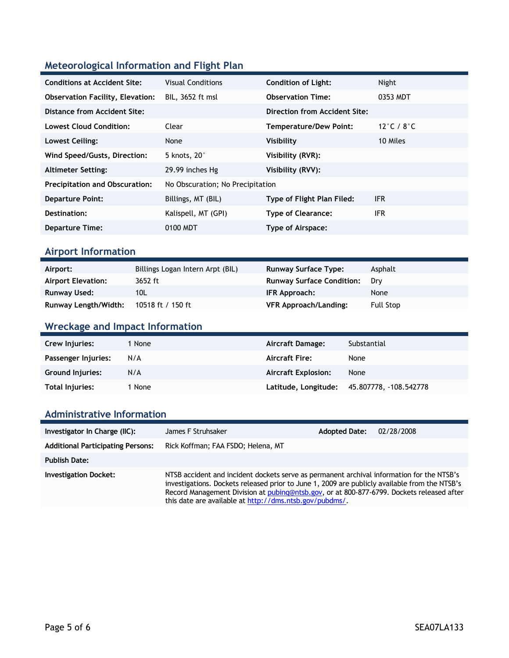### **Meteorological Information and Flight Plan**

| <b>Conditions at Accident Site:</b>     | <b>Visual Conditions</b>         | <b>Condition of Light:</b>    | Night                          |
|-----------------------------------------|----------------------------------|-------------------------------|--------------------------------|
| <b>Observation Facility, Elevation:</b> | BIL, 3652 ft msl                 | <b>Observation Time:</b>      | 0353 MDT                       |
| Distance from Accident Site:            |                                  | Direction from Accident Site: |                                |
| <b>Lowest Cloud Condition:</b>          | Clear                            | <b>Temperature/Dew Point:</b> | 12 $\degree$ C / 8 $\degree$ C |
| Lowest Ceiling:                         | None                             | Visibility                    | 10 Miles                       |
| Wind Speed/Gusts, Direction:            | 5 knots, 20°                     | Visibility (RVR):             |                                |
| <b>Altimeter Setting:</b>               | 29.99 inches Hg                  | Visibility (RVV):             |                                |
| <b>Precipitation and Obscuration:</b>   | No Obscuration; No Precipitation |                               |                                |
| <b>Departure Point:</b>                 | Billings, MT (BIL)               | Type of Flight Plan Filed:    | <b>IFR</b>                     |
| Destination:                            | Kalispell, MT (GPI)              | <b>Type of Clearance:</b>     | <b>IFR</b>                     |
| <b>Departure Time:</b>                  | 0100 MDT                         | Type of Airspace:             |                                |

### **Airport Information**

| Airport:                  | Billings Logan Intern Arpt (BIL) | <b>Runway Surface Type:</b>      | Asphalt   |
|---------------------------|----------------------------------|----------------------------------|-----------|
| <b>Airport Elevation:</b> | 3652 ft                          | <b>Runway Surface Condition:</b> | Drv       |
| Runway Used:              | 10L                              | IFR Approach:                    | None      |
| Runway Length/Width:      | 10518 ft / 150 ft                | <b>VFR Approach/Landing:</b>     | Full Stop |

### **Wreckage and Impact Information**

| Crew Injuries:          | 1 None | Aircraft Damage:           | Substantial            |
|-------------------------|--------|----------------------------|------------------------|
| Passenger Injuries:     | N/A    | <b>Aircraft Fire:</b>      | None                   |
| <b>Ground Injuries:</b> | N/A    | <b>Aircraft Explosion:</b> | None                   |
| Total Injuries:         | 1 None | Latitude, Longitude:       | 45.807778, -108.542778 |

#### **Administrative Information**

| Investigator In Charge (IIC):            | James F Struhsaker                                                                                                                                                                                                                                                                                                                                 | <b>Adopted Date:</b> | 02/28/2008 |
|------------------------------------------|----------------------------------------------------------------------------------------------------------------------------------------------------------------------------------------------------------------------------------------------------------------------------------------------------------------------------------------------------|----------------------|------------|
| <b>Additional Participating Persons:</b> | Rick Koffman; FAA FSDO; Helena, MT                                                                                                                                                                                                                                                                                                                 |                      |            |
| <b>Publish Date:</b>                     |                                                                                                                                                                                                                                                                                                                                                    |                      |            |
| <b>Investigation Docket:</b>             | NTSB accident and incident dockets serve as permanent archival information for the NTSB's<br>investigations. Dockets released prior to June 1, 2009 are publicly available from the NTSB's<br>Record Management Division at pubing@ntsb.gov, or at 800-877-6799. Dockets released after<br>this date are available at http://dms.ntsb.gov/pubdms/. |                      |            |